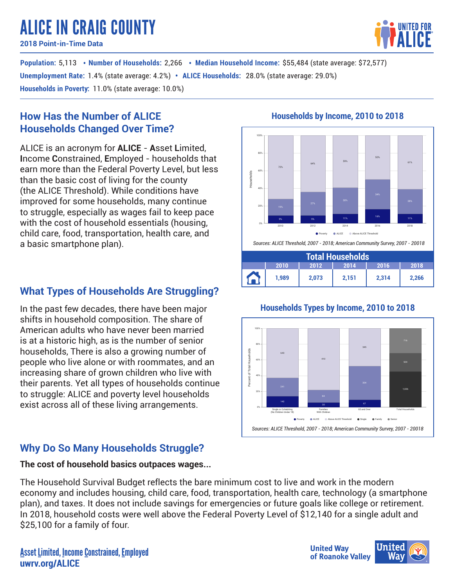# ALICE IN CRAIG COUNTY

**2018 Point-in-Time Data**

**Population:** 5,113 • Number of Households: 2,266 • Median Household Income: \$55,484 (state average: \$72,577) **Unemployment Rate**: 1.4% (state average: 4.2%) • ALICE Households: 28.0% (state average: 29.0%) **Households in Poverty:** 11.0% (state average: 10.0%)

## **How Has the Number of ALICE Households Changed Over Time?**

ALICE is an acronym for **ALICE** - **A**sset **L**imited, **I**ncome **C**onstrained, **E**mployed - households that earn more than the Federal Poverty Level, but less than the basic cost of living for the county (the ALICE Threshold). While conditions have improved for some households, many continue to struggle, especially as wages fail to keep pace with the cost of household essentials (housing, child care, food, transportation, health care, and a basic smartphone plan).

## **What Types of Households Are Struggling?**

In the past few decades, there have been major shifts in household composition. The share of American adults who have never been married is at a historic high, as is the number of senior households, There is also a growing number of people who live alone or with roommates, and an increasing share of grown children who live with their parents. Yet all types of households continue to struggle: ALICE and poverty level households exist across all of these living arrangements.

## **Why Do So Many Households Struggle?**

## **The cost of household basics outpaces wages...**

The Household Survival Budget reflects the bare minimum cost to live and work in the modern economy and includes housing, child care, food, transportation, health care, technology (a smartphone plan), and taxes. It does not include savings for emergencies or future goals like college or retirement. In 2018, household costs were well above the Federal Poverty Level of \$12,140 for a single adult and \$25,100 for a family of four.

## **Households by Income, 2010 to 2018**



## **Households Types by Income, 2010 to 2018**